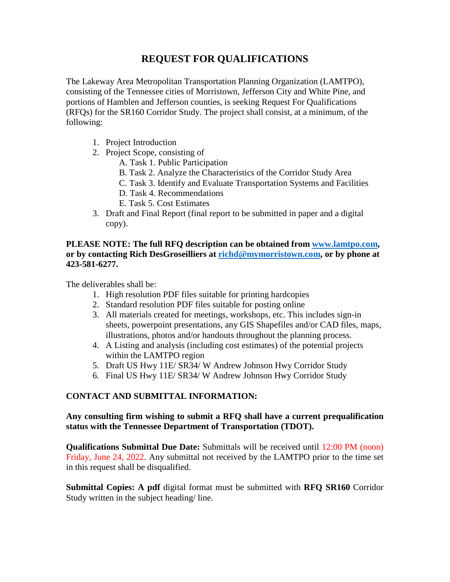# **REQUEST FOR QUALIFICATIONS**

The Lakeway Area Metropolitan Transportation Planning Organization (LAMTPO), consisting of the Tennessee cities of Morristown, Jefferson City and White Pine, and portions of Hamblen and Jefferson counties, is seeking Request For Qualifications (RFQs) for the SR160 Corridor Study. The project shall consist, at a minimum, of the following:

- 1. Project Introduction
- 2. Project Scope, consisting of
	- A. Task 1. Public Participation
	- B. Task 2. Analyze the Characteristics of the Corridor Study Area
	- C. Task 3. Identify and Evaluate Transportation Systems and Facilities
	- D. Task 4. Recommendations
	- E. Task 5. Cost Estimates
- 3. Draft and Final Report (final report to be submitted in paper and a digital copy).

## **PLEASE NOTE: The full RFQ description can be obtained from [www.lamtpo.com,](http://www.lamtpo.com/) or by contacting Rich DesGroseilliers at [richd@mymorristown.com,](mailto:richd@mymorristown.com) or by phone at 423-581-6277.**

The deliverables shall be:

- 1. High resolution PDF files suitable for printing hardcopies
- 2. Standard resolution PDF files suitable for posting online
- 3. All materials created for meetings, workshops, etc. This includes sign-in sheets, powerpoint presentations, any GIS Shapefiles and/or CAD files, maps, illustrations, photos and/or handouts throughout the planning process.
- 4. A Listing and analysis (including cost estimates) of the potential projects within the LAMTPO region
- 5. Draft US Hwy 11E/ SR34/ W Andrew Johnson Hwy Corridor Study
- 6. Final US Hwy 11E/ SR34/ W Andrew Johnson Hwy Corridor Study

# **CONTACT AND SUBMITTAL INFORMATION:**

### **Any consulting firm wishing to submit a RFQ shall have a current prequalification status with the Tennessee Department of Transportation (TDOT).**

**Qualifications Submittal Due Date:** Submittals will be received until 12:00 PM (noon) Friday, June 24, 2022. Any submittal not received by the LAMTPO prior to the time set in this request shall be disqualified.

**Submittal Copies: A pdf** digital format must be submitted with **RFQ SR160** Corridor Study written in the subject heading/ line.